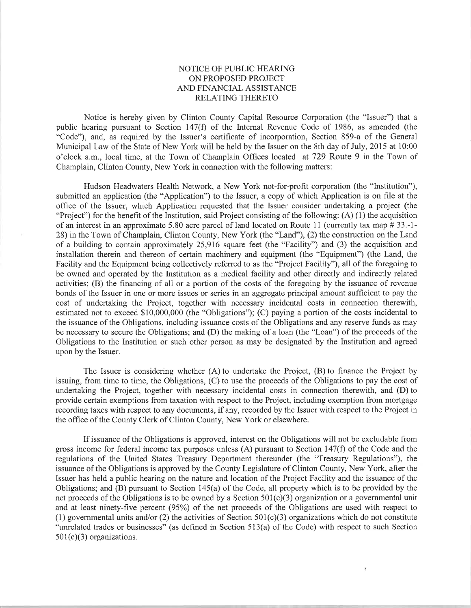## NOTICE OF PUBLIC HEARING ON PROPOSED PROJECT AND FINANCIAL ASSISTANCE RELATING THERETO

Notice is hereby given by Clinton County Capital Resource Corporation (the "Issuer") that a public hearing pursuant to Section 147(Ð of the Internal Revenue Code of 1986, as amended (the "Code"), and, as required by the Issuer's certificate of incorporation, Section 859-a of the General Municipal Law of the State of New York will be held by the Issuer on the 8th day of July, 2015 at 10:00 o'clock a.m., local time, at the Town of Champlain Ofhces located at 729 Route 9 in the Town of Champlain, Clinton County, New York in connection with the following matters:

Hudson Headwaters Health Network, a New York not-for-profit corporation (the "Institution"), submitted an application (the "Application") to the Issuer, a copy of which Application is on file at the ofhce of the Issuer, which Application requested that the Issuer consider undertaking a project (the "Project") for the benefit of the Institution, said Project consisting of the following: (A) (1) the acquisition of an interest in an approximate 5.80 acre parcel of land located on Route 11 (currently tax map # 33.-1-28) in the Town of Champlain, Clinton County, New York (the "Land"), (2) the construction on the Land of a building to contain approximately 25,916 square feet (the "Facility") and (3) the acquisition and installation therein and thereon of certain machinery and equipment (the "Equipment") (the Land, the Facility and the Equipment being collectively referred to as the "Project Facility"), all of the foregoing to be owned and operated by the Institution as a medical facility and other directly and indirectly related activities; (B) the financing of all or a portion of the costs of the foregoing by the issuance of revenue bonds of the Issuer in one or more issues or series in an aggregate principal amount sufficient to pay the cost of undertaking the Project, together with necessary incidental costs in connection therewith, estimated not to exceed \$10,000,000 (the "Obligations"); (C) paying a portion of the costs incidental to the issuance of the Obligations, including issuance costs of the Obligations and any reserve funds as may be necessary to secure the Obligations; and (D) the making of a loan (the "Loan") of the proceeds of the Obligations to the Institution or such other person as may be designated by the Lrstitution and agreed upon by the Issuer.

The Issuer is considering whether (A) to undertake the Project, (B) to finance the Project by issuing, from time to time, the Obligations, (C) to use the proceeds of the Obligations to pay the cost of undertaking the Project, together with necessary incidental costs in connection therewith, and (D) to provide certain exemptions from taxation with respect to the Project, including exemption from mortgage recording taxes with respect to any documents, if any, recorded by the Issuer with respect to the Project in the office of the County Clerk of Clinton County, New York or elsewhere.

If issuance of the Obligations is approved, interest on the Obligations will not be excludable from gross income for federal income tax purposes unless (A) pursuant to Section 147(f) of the Code and the regulations of the United States Treasury Department thereunder (the "Treasury Regulations"), the issuance of the Obligations is approved by the County Legislature of Clinton County, New York, after the Issuer has held a public hearing on the nature and location of the Project Facility and the issuance of the Obligations; and  $(B)$  pursuant to Section 145(a) of the Code, all property which is to be provided by the net proceeds of the Obligations is to be owned by a Section  $501(c)(3)$  organization or a governmental unit and at least ninety-five percent (95%) of the net proceeds of the Obligations are used with respect to (1) governmental units and/or (2) the activities of Section  $501(c)(3)$  organizations which do not constitute "unrelated trades or businesses" (as defined in Section 5i3(a) of the Code) with respect to such Section  $501(c)(3)$  organizations.